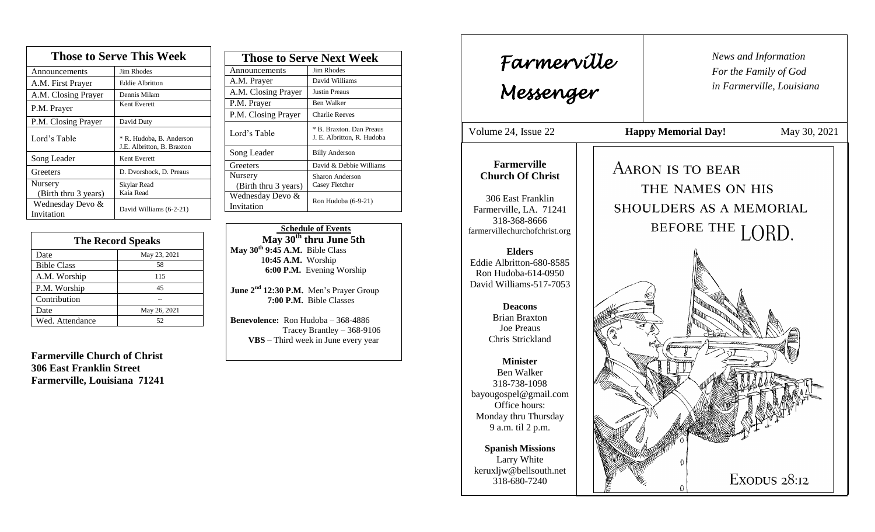| <b>Those to Serve This Week</b> |                                                        |  |
|---------------------------------|--------------------------------------------------------|--|
| Announcements                   | Jim Rhodes                                             |  |
| A.M. First Prayer               | <b>Eddie Albritton</b>                                 |  |
| A.M. Closing Prayer             | Dennis Milam                                           |  |
| P.M. Prayer                     | Kent Everett                                           |  |
| P.M. Closing Prayer             | David Duty                                             |  |
| Lord's Table                    | * R. Hudoba, B. Anderson<br>J.E. Albritton, B. Braxton |  |
| Song Leader                     | Kent Everett                                           |  |
| Greeters                        | D. Dvorshock, D. Preaus                                |  |
| Nursery<br>(Birth thru 3 years) | Skylar Read<br>Kaia Read                               |  |
| Wednesday Devo &<br>Invitation  | David Williams (6-2-21)                                |  |

| <b>The Record Speaks</b> |              |
|--------------------------|--------------|
| Date                     | May 23, 2021 |
| <b>Bible Class</b>       | 58           |
| A.M. Worship             | 115          |
| P.M. Worship             | 45           |
| Contribution             |              |
| Date                     | May 26, 2021 |
| Wed. Attendance          | 52           |

**Farmerville Church of Christ 306 East Franklin Street Farmerville, Louisiana 71241**

| <b>Those to Serve Next Week</b> |                                                        |
|---------------------------------|--------------------------------------------------------|
| Announcements                   | Jim Rhodes                                             |
| A.M. Prayer                     | David Williams                                         |
| A.M. Closing Prayer             | <b>Justin Preaus</b>                                   |
| P.M. Prayer                     | <b>Ben Walker</b>                                      |
| P.M. Closing Prayer             | <b>Charlie Reeves</b>                                  |
| Lord's Table                    | * B. Braxton, Dan Preaus<br>J. E. Albritton, R. Hudoba |
| Song Leader                     | <b>Billy Anderson</b>                                  |
| Greeters                        | David & Debbie Williams                                |
| Nursery                         | Sharon Anderson                                        |
| (Birth thru 3 years)            | Casey Fletcher                                         |
| Wednesday Devo &                | Ron Hudoba (6-9-21)                                    |
| Invitation                      |                                                        |

 **Schedule of Events May 30th thru June 5th May 30th 9:45 A.M.** Bible Class 1**0:45 A.M.** Worship  **6:00 P.M.** Evening Worship

**June 2nd 12:30 P.M.** Men's Prayer Group **7:00 P.M.** Bible Classes

**Benevolence:** Ron Hudoba – 368-4886 Tracey Brantley – 368-9106 **VBS** – Third week in June every year

*News and Information* **Farmerville**  $\begin{bmatrix} \text{News an} \\ \text{For the} \end{bmatrix}$ *For the Family of God in Farmerville, Louisiana Messenger*  Volume 24, Issue 22 **Happy Memorial Day!** May 30, 2021 , 2015 **Farmerville AARON IS TO BEAR Church Of Christ** THE NAMES ON HIS 306 East Franklin SHOULDERS AS A MEMORIAL Farmerville, LA. 71241 318-368-8666 BEFORE THE LORD. farmervillechurchofchrist.org **Elders** Eddie Albritton-680-8585 Ron Hudoba-614-0950 David Williams-517-7053 **Deacons**  Brian Braxton Joe Preaus Chris Strickland **Minister** Ben Walker 318-738-1098 bayougospel@gmail.com Office hours: Monday thru Thursday 9 a.m. til 2 p.m. **Spanish Missions** Larry White keruxljw@bellsouth.net EXODUS 28:12 318-680-7240  $\Omega$